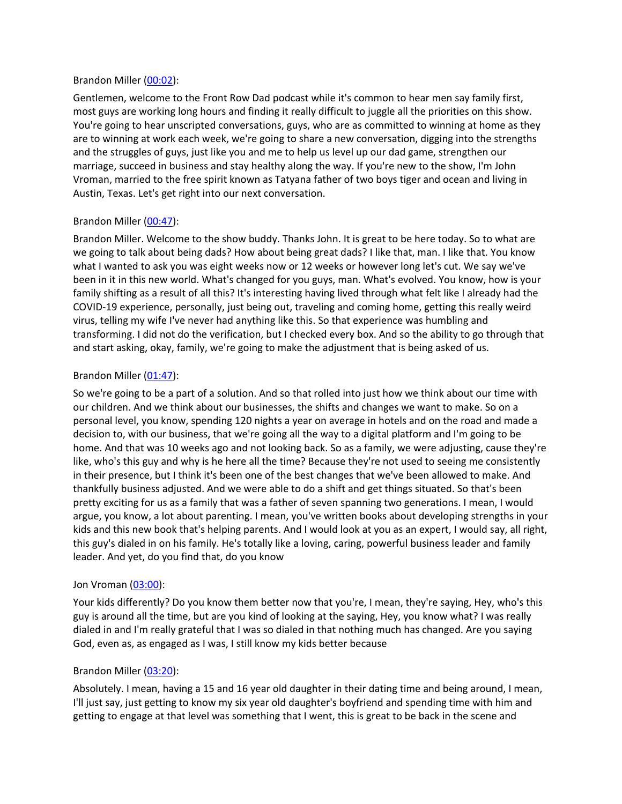#### Brandon Miller ([00:02](https://www.temi.com/editor/t/bL6P-TX6fXqVipUc8fmULbESqGqlj6Mn2QDj7Tl-dwnyyYWyWaCl54z7sPxfksMYqP5UTlXZbiJ1fNX70jVK3djCJkg?loadFrom=DocumentDeeplink&ts=2.84)):

Gentlemen, welcome to the Front Row Dad podcast while it's common to hear men say family first, most guys are working long hours and finding it really difficult to juggle all the priorities on this show. You're going to hear unscripted conversations, guys, who are as committed to winning at home as they are to winning at work each week, we're going to share a new conversation, digging into the strengths and the struggles of guys, just like you and me to help us level up our dad game, strengthen our marriage, succeed in business and stay healthy along the way. If you're new to the show, I'm John Vroman, married to the free spirit known as Tatyana father of two boys tiger and ocean and living in Austin, Texas. Let's get right into our next conversation.

## Brandon Miller ([00:47](https://www.temi.com/editor/t/bL6P-TX6fXqVipUc8fmULbESqGqlj6Mn2QDj7Tl-dwnyyYWyWaCl54z7sPxfksMYqP5UTlXZbiJ1fNX70jVK3djCJkg?loadFrom=DocumentDeeplink&ts=47.93)):

Brandon Miller. Welcome to the show buddy. Thanks John. It is great to be here today. So to what are we going to talk about being dads? How about being great dads? I like that, man. I like that. You know what I wanted to ask you was eight weeks now or 12 weeks or however long let's cut. We say we've been in it in this new world. What's changed for you guys, man. What's evolved. You know, how is your family shifting as a result of all this? It's interesting having lived through what felt like I already had the COVID-19 experience, personally, just being out, traveling and coming home, getting this really weird virus, telling my wife I've never had anything like this. So that experience was humbling and transforming. I did not do the verification, but I checked every box. And so the ability to go through that and start asking, okay, family, we're going to make the adjustment that is being asked of us.

## Brandon Miller ([01:47](https://www.temi.com/editor/t/bL6P-TX6fXqVipUc8fmULbESqGqlj6Mn2QDj7Tl-dwnyyYWyWaCl54z7sPxfksMYqP5UTlXZbiJ1fNX70jVK3djCJkg?loadFrom=DocumentDeeplink&ts=107.36)):

So we're going to be a part of a solution. And so that rolled into just how we think about our time with our children. And we think about our businesses, the shifts and changes we want to make. So on a personal level, you know, spending 120 nights a year on average in hotels and on the road and made a decision to, with our business, that we're going all the way to a digital platform and I'm going to be home. And that was 10 weeks ago and not looking back. So as a family, we were adjusting, cause they're like, who's this guy and why is he here all the time? Because they're not used to seeing me consistently in their presence, but I think it's been one of the best changes that we've been allowed to make. And thankfully business adjusted. And we were able to do a shift and get things situated. So that's been pretty exciting for us as a family that was a father of seven spanning two generations. I mean, I would argue, you know, a lot about parenting. I mean, you've written books about developing strengths in your kids and this new book that's helping parents. And I would look at you as an expert, I would say, all right, this guy's dialed in on his family. He's totally like a loving, caring, powerful business leader and family leader. And yet, do you find that, do you know

## Jon Vroman [\(03:00](https://www.temi.com/editor/t/bL6P-TX6fXqVipUc8fmULbESqGqlj6Mn2QDj7Tl-dwnyyYWyWaCl54z7sPxfksMYqP5UTlXZbiJ1fNX70jVK3djCJkg?loadFrom=DocumentDeeplink&ts=180.07)):

Your kids differently? Do you know them better now that you're, I mean, they're saying, Hey, who's this guy is around all the time, but are you kind of looking at the saying, Hey, you know what? I was really dialed in and I'm really grateful that I was so dialed in that nothing much has changed. Are you saying God, even as, as engaged as I was, I still know my kids better because

## Brandon Miller ([03:20](https://www.temi.com/editor/t/bL6P-TX6fXqVipUc8fmULbESqGqlj6Mn2QDj7Tl-dwnyyYWyWaCl54z7sPxfksMYqP5UTlXZbiJ1fNX70jVK3djCJkg?loadFrom=DocumentDeeplink&ts=200.07)):

Absolutely. I mean, having a 15 and 16 year old daughter in their dating time and being around, I mean, I'll just say, just getting to know my six year old daughter's boyfriend and spending time with him and getting to engage at that level was something that I went, this is great to be back in the scene and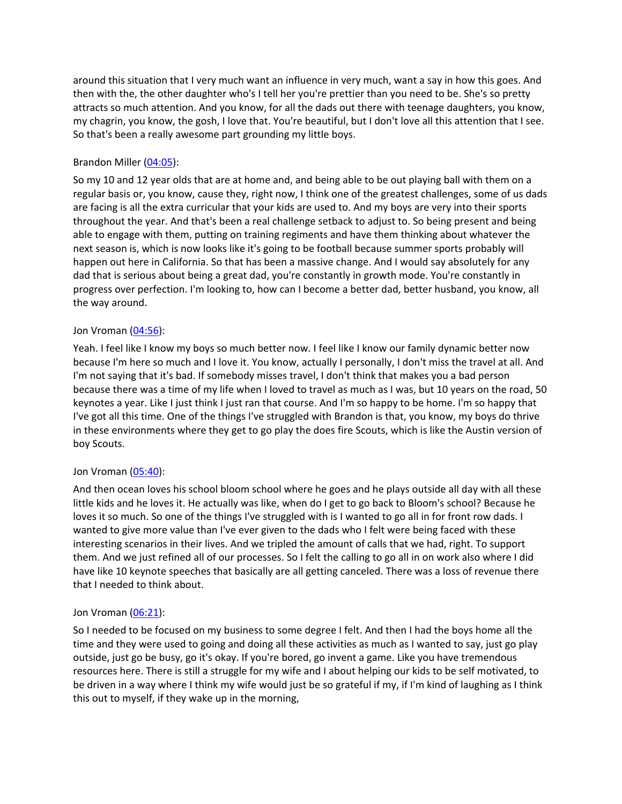around this situation that I very much want an influence in very much, want a say in how this goes. And then with the, the other daughter who's I tell her you're prettier than you need to be. She's so pretty attracts so much attention. And you know, for all the dads out there with teenage daughters, you know, my chagrin, you know, the gosh, I love that. You're beautiful, but I don't love all this attention that I see. So that's been a really awesome part grounding my little boys.

## Brandon Miller ([04:05](https://www.temi.com/editor/t/bL6P-TX6fXqVipUc8fmULbESqGqlj6Mn2QDj7Tl-dwnyyYWyWaCl54z7sPxfksMYqP5UTlXZbiJ1fNX70jVK3djCJkg?loadFrom=DocumentDeeplink&ts=245.61)):

So my 10 and 12 year olds that are at home and, and being able to be out playing ball with them on a regular basis or, you know, cause they, right now, I think one of the greatest challenges, some of us dads are facing is all the extra curricular that your kids are used to. And my boys are very into their sports throughout the year. And that's been a real challenge setback to adjust to. So being present and being able to engage with them, putting on training regiments and have them thinking about whatever the next season is, which is now looks like it's going to be football because summer sports probably will happen out here in California. So that has been a massive change. And I would say absolutely for any dad that is serious about being a great dad, you're constantly in growth mode. You're constantly in progress over perfection. I'm looking to, how can I become a better dad, better husband, you know, all the way around.

## Jon Vroman [\(04:56](https://www.temi.com/editor/t/bL6P-TX6fXqVipUc8fmULbESqGqlj6Mn2QDj7Tl-dwnyyYWyWaCl54z7sPxfksMYqP5UTlXZbiJ1fNX70jVK3djCJkg?loadFrom=DocumentDeeplink&ts=296.16)):

Yeah. I feel like I know my boys so much better now. I feel like I know our family dynamic better now because I'm here so much and I love it. You know, actually I personally, I don't miss the travel at all. And I'm not saying that it's bad. If somebody misses travel, I don't think that makes you a bad person because there was a time of my life when I loved to travel as much as I was, but 10 years on the road, 50 keynotes a year. Like I just think I just ran that course. And I'm so happy to be home. I'm so happy that I've got all this time. One of the things I've struggled with Brandon is that, you know, my boys do thrive in these environments where they get to go play the does fire Scouts, which is like the Austin version of boy Scouts.

## Jon Vroman [\(05:40](https://www.temi.com/editor/t/bL6P-TX6fXqVipUc8fmULbESqGqlj6Mn2QDj7Tl-dwnyyYWyWaCl54z7sPxfksMYqP5UTlXZbiJ1fNX70jVK3djCJkg?loadFrom=DocumentDeeplink&ts=340.47)):

And then ocean loves his school bloom school where he goes and he plays outside all day with all these little kids and he loves it. He actually was like, when do I get to go back to Bloom's school? Because he loves it so much. So one of the things I've struggled with is I wanted to go all in for front row dads. I wanted to give more value than I've ever given to the dads who I felt were being faced with these interesting scenarios in their lives. And we tripled the amount of calls that we had, right. To support them. And we just refined all of our processes. So I felt the calling to go all in on work also where I did have like 10 keynote speeches that basically are all getting canceled. There was a loss of revenue there that I needed to think about.

## Jon Vroman [\(06:21](https://www.temi.com/editor/t/bL6P-TX6fXqVipUc8fmULbESqGqlj6Mn2QDj7Tl-dwnyyYWyWaCl54z7sPxfksMYqP5UTlXZbiJ1fNX70jVK3djCJkg?loadFrom=DocumentDeeplink&ts=381.29)):

So I needed to be focused on my business to some degree I felt. And then I had the boys home all the time and they were used to going and doing all these activities as much as I wanted to say, just go play outside, just go be busy, go it's okay. If you're bored, go invent a game. Like you have tremendous resources here. There is still a struggle for my wife and I about helping our kids to be self motivated, to be driven in a way where I think my wife would just be so grateful if my, if I'm kind of laughing as I think this out to myself, if they wake up in the morning,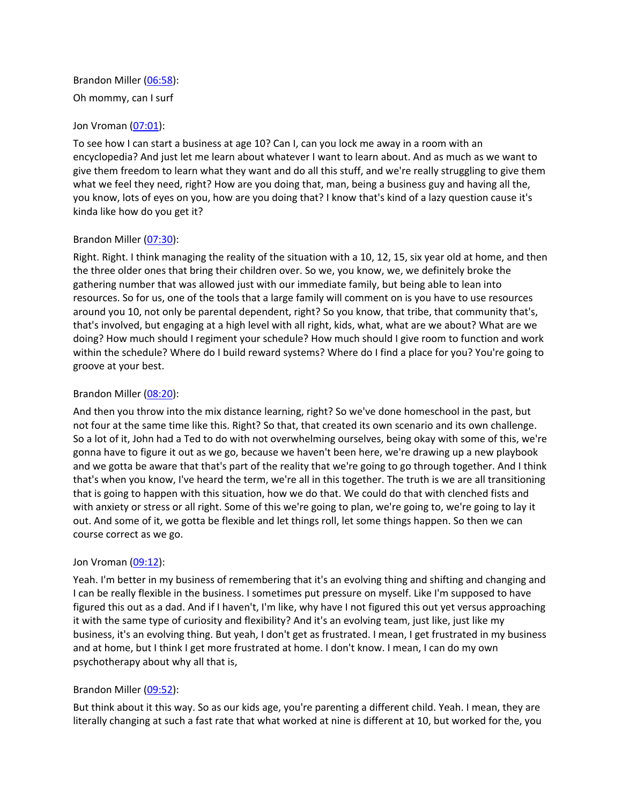Brandon Miller ([06:58](https://www.temi.com/editor/t/bL6P-TX6fXqVipUc8fmULbESqGqlj6Mn2QDj7Tl-dwnyyYWyWaCl54z7sPxfksMYqP5UTlXZbiJ1fNX70jVK3djCJkg?loadFrom=DocumentDeeplink&ts=418.69)): Oh mommy, can I surf

### Jon Vroman [\(07:01](https://www.temi.com/editor/t/bL6P-TX6fXqVipUc8fmULbESqGqlj6Mn2QDj7Tl-dwnyyYWyWaCl54z7sPxfksMYqP5UTlXZbiJ1fNX70jVK3djCJkg?loadFrom=DocumentDeeplink&ts=421.96)):

To see how I can start a business at age 10? Can I, can you lock me away in a room with an encyclopedia? And just let me learn about whatever I want to learn about. And as much as we want to give them freedom to learn what they want and do all this stuff, and we're really struggling to give them what we feel they need, right? How are you doing that, man, being a business guy and having all the, you know, lots of eyes on you, how are you doing that? I know that's kind of a lazy question cause it's kinda like how do you get it?

### Brandon Miller ([07:30](https://www.temi.com/editor/t/bL6P-TX6fXqVipUc8fmULbESqGqlj6Mn2QDj7Tl-dwnyyYWyWaCl54z7sPxfksMYqP5UTlXZbiJ1fNX70jVK3djCJkg?loadFrom=DocumentDeeplink&ts=450.07)):

Right. Right. I think managing the reality of the situation with a 10, 12, 15, six year old at home, and then the three older ones that bring their children over. So we, you know, we, we definitely broke the gathering number that was allowed just with our immediate family, but being able to lean into resources. So for us, one of the tools that a large family will comment on is you have to use resources around you 10, not only be parental dependent, right? So you know, that tribe, that community that's, that's involved, but engaging at a high level with all right, kids, what, what are we about? What are we doing? How much should I regiment your schedule? How much should I give room to function and work within the schedule? Where do I build reward systems? Where do I find a place for you? You're going to groove at your best.

### Brandon Miller ([08:20](https://www.temi.com/editor/t/bL6P-TX6fXqVipUc8fmULbESqGqlj6Mn2QDj7Tl-dwnyyYWyWaCl54z7sPxfksMYqP5UTlXZbiJ1fNX70jVK3djCJkg?loadFrom=DocumentDeeplink&ts=500.65)):

And then you throw into the mix distance learning, right? So we've done homeschool in the past, but not four at the same time like this. Right? So that, that created its own scenario and its own challenge. So a lot of it, John had a Ted to do with not overwhelming ourselves, being okay with some of this, we're gonna have to figure it out as we go, because we haven't been here, we're drawing up a new playbook and we gotta be aware that that's part of the reality that we're going to go through together. And I think that's when you know, I've heard the term, we're all in this together. The truth is we are all transitioning that is going to happen with this situation, how we do that. We could do that with clenched fists and with anxiety or stress or all right. Some of this we're going to plan, we're going to, we're going to lay it out. And some of it, we gotta be flexible and let things roll, let some things happen. So then we can course correct as we go.

#### Jon Vroman [\(09:12](https://www.temi.com/editor/t/bL6P-TX6fXqVipUc8fmULbESqGqlj6Mn2QDj7Tl-dwnyyYWyWaCl54z7sPxfksMYqP5UTlXZbiJ1fNX70jVK3djCJkg?loadFrom=DocumentDeeplink&ts=552.74)):

Yeah. I'm better in my business of remembering that it's an evolving thing and shifting and changing and I can be really flexible in the business. I sometimes put pressure on myself. Like I'm supposed to have figured this out as a dad. And if I haven't, I'm like, why have I not figured this out yet versus approaching it with the same type of curiosity and flexibility? And it's an evolving team, just like, just like my business, it's an evolving thing. But yeah, I don't get as frustrated. I mean, I get frustrated in my business and at home, but I think I get more frustrated at home. I don't know. I mean, I can do my own psychotherapy about why all that is,

## Brandon Miller ([09:52](https://www.temi.com/editor/t/bL6P-TX6fXqVipUc8fmULbESqGqlj6Mn2QDj7Tl-dwnyyYWyWaCl54z7sPxfksMYqP5UTlXZbiJ1fNX70jVK3djCJkg?loadFrom=DocumentDeeplink&ts=592.67)):

But think about it this way. So as our kids age, you're parenting a different child. Yeah. I mean, they are literally changing at such a fast rate that what worked at nine is different at 10, but worked for the, you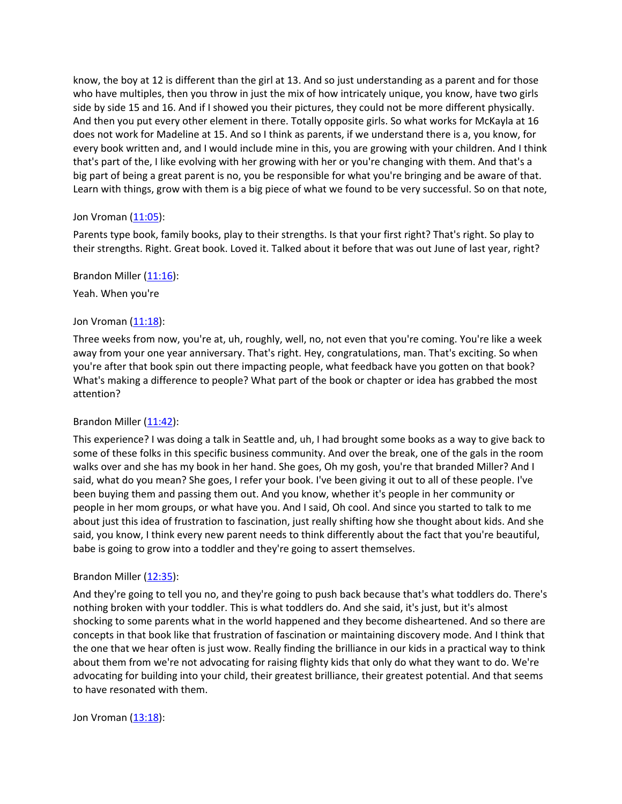know, the boy at 12 is different than the girl at 13. And so just understanding as a parent and for those who have multiples, then you throw in just the mix of how intricately unique, you know, have two girls side by side 15 and 16. And if I showed you their pictures, they could not be more different physically. And then you put every other element in there. Totally opposite girls. So what works for McKayla at 16 does not work for Madeline at 15. And so I think as parents, if we understand there is a, you know, for every book written and, and I would include mine in this, you are growing with your children. And I think that's part of the, I like evolving with her growing with her or you're changing with them. And that's a big part of being a great parent is no, you be responsible for what you're bringing and be aware of that. Learn with things, grow with them is a big piece of what we found to be very successful. So on that note,

### Jon Vroman  $(11:05)$  $(11:05)$ :

Parents type book, family books, play to their strengths. Is that your first right? That's right. So play to their strengths. Right. Great book. Loved it. Talked about it before that was out June of last year, right?

Brandon Miller ([11:16](https://www.temi.com/editor/t/bL6P-TX6fXqVipUc8fmULbESqGqlj6Mn2QDj7Tl-dwnyyYWyWaCl54z7sPxfksMYqP5UTlXZbiJ1fNX70jVK3djCJkg?loadFrom=DocumentDeeplink&ts=676.4)):

Yeah. When you're

## Jon Vroman [\(11:18](https://www.temi.com/editor/t/bL6P-TX6fXqVipUc8fmULbESqGqlj6Mn2QDj7Tl-dwnyyYWyWaCl54z7sPxfksMYqP5UTlXZbiJ1fNX70jVK3djCJkg?loadFrom=DocumentDeeplink&ts=678.62)):

Three weeks from now, you're at, uh, roughly, well, no, not even that you're coming. You're like a week away from your one year anniversary. That's right. Hey, congratulations, man. That's exciting. So when you're after that book spin out there impacting people, what feedback have you gotten on that book? What's making a difference to people? What part of the book or chapter or idea has grabbed the most attention?

## Brandon Miller ([11:42](https://www.temi.com/editor/t/bL6P-TX6fXqVipUc8fmULbESqGqlj6Mn2QDj7Tl-dwnyyYWyWaCl54z7sPxfksMYqP5UTlXZbiJ1fNX70jVK3djCJkg?loadFrom=DocumentDeeplink&ts=702.39)):

This experience? I was doing a talk in Seattle and, uh, I had brought some books as a way to give back to some of these folks in this specific business community. And over the break, one of the gals in the room walks over and she has my book in her hand. She goes, Oh my gosh, you're that branded Miller? And I said, what do you mean? She goes, I refer your book. I've been giving it out to all of these people. I've been buying them and passing them out. And you know, whether it's people in her community or people in her mom groups, or what have you. And I said, Oh cool. And since you started to talk to me about just this idea of frustration to fascination, just really shifting how she thought about kids. And she said, you know, I think every new parent needs to think differently about the fact that you're beautiful, babe is going to grow into a toddler and they're going to assert themselves.

#### Brandon Miller ([12:35](https://www.temi.com/editor/t/bL6P-TX6fXqVipUc8fmULbESqGqlj6Mn2QDj7Tl-dwnyyYWyWaCl54z7sPxfksMYqP5UTlXZbiJ1fNX70jVK3djCJkg?loadFrom=DocumentDeeplink&ts=755.11)):

And they're going to tell you no, and they're going to push back because that's what toddlers do. There's nothing broken with your toddler. This is what toddlers do. And she said, it's just, but it's almost shocking to some parents what in the world happened and they become disheartened. And so there are concepts in that book like that frustration of fascination or maintaining discovery mode. And I think that the one that we hear often is just wow. Really finding the brilliance in our kids in a practical way to think about them from we're not advocating for raising flighty kids that only do what they want to do. We're advocating for building into your child, their greatest brilliance, their greatest potential. And that seems to have resonated with them.

Jon Vroman [\(13:18](https://www.temi.com/editor/t/bL6P-TX6fXqVipUc8fmULbESqGqlj6Mn2QDj7Tl-dwnyyYWyWaCl54z7sPxfksMYqP5UTlXZbiJ1fNX70jVK3djCJkg?loadFrom=DocumentDeeplink&ts=798.33)):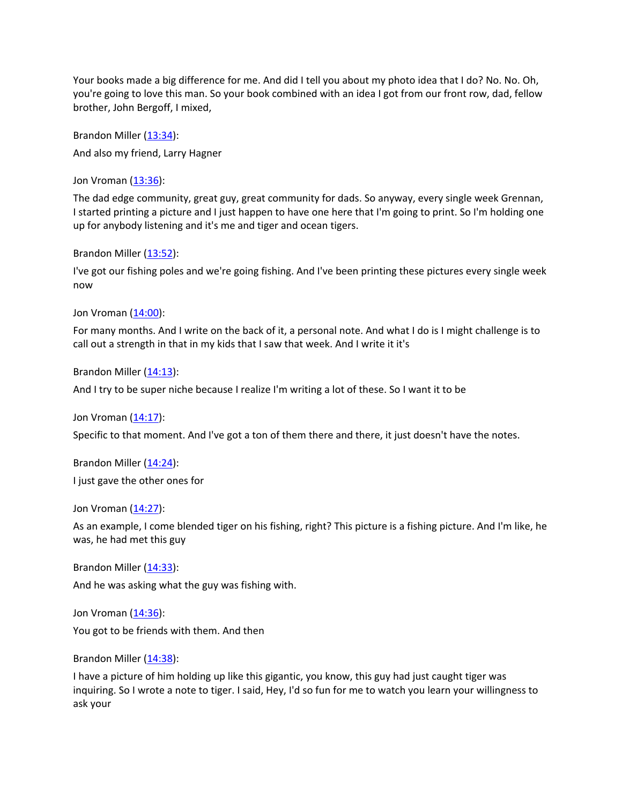Your books made a big difference for me. And did I tell you about my photo idea that I do? No. No. Oh, you're going to love this man. So your book combined with an idea I got from our front row, dad, fellow brother, John Bergoff, I mixed,

Brandon Miller ([13:34](https://www.temi.com/editor/t/bL6P-TX6fXqVipUc8fmULbESqGqlj6Mn2QDj7Tl-dwnyyYWyWaCl54z7sPxfksMYqP5UTlXZbiJ1fNX70jVK3djCJkg?loadFrom=DocumentDeeplink&ts=814.26)): And also my friend, Larry Hagner

Jon Vroman [\(13:36](https://www.temi.com/editor/t/bL6P-TX6fXqVipUc8fmULbESqGqlj6Mn2QDj7Tl-dwnyyYWyWaCl54z7sPxfksMYqP5UTlXZbiJ1fNX70jVK3djCJkg?loadFrom=DocumentDeeplink&ts=816.18)):

The dad edge community, great guy, great community for dads. So anyway, every single week Grennan, I started printing a picture and I just happen to have one here that I'm going to print. So I'm holding one up for anybody listening and it's me and tiger and ocean tigers.

Brandon Miller ([13:52](https://www.temi.com/editor/t/bL6P-TX6fXqVipUc8fmULbESqGqlj6Mn2QDj7Tl-dwnyyYWyWaCl54z7sPxfksMYqP5UTlXZbiJ1fNX70jVK3djCJkg?loadFrom=DocumentDeeplink&ts=832.8)):

I've got our fishing poles and we're going fishing. And I've been printing these pictures every single week now

Jon Vroman [\(14:00](https://www.temi.com/editor/t/bL6P-TX6fXqVipUc8fmULbESqGqlj6Mn2QDj7Tl-dwnyyYWyWaCl54z7sPxfksMYqP5UTlXZbiJ1fNX70jVK3djCJkg?loadFrom=DocumentDeeplink&ts=840.06)):

For many months. And I write on the back of it, a personal note. And what I do is I might challenge is to call out a strength in that in my kids that I saw that week. And I write it it's

Brandon Miller  $(14:13)$  $(14:13)$  $(14:13)$ :

And I try to be super niche because I realize I'm writing a lot of these. So I want it to be

Jon Vroman [\(14:17](https://www.temi.com/editor/t/bL6P-TX6fXqVipUc8fmULbESqGqlj6Mn2QDj7Tl-dwnyyYWyWaCl54z7sPxfksMYqP5UTlXZbiJ1fNX70jVK3djCJkg?loadFrom=DocumentDeeplink&ts=857.94)):

Specific to that moment. And I've got a ton of them there and there, it just doesn't have the notes.

Brandon Miller  $(14:24)$  $(14:24)$  $(14:24)$ : I just gave the other ones for

Jon Vroman [\(14:27](https://www.temi.com/editor/t/bL6P-TX6fXqVipUc8fmULbESqGqlj6Mn2QDj7Tl-dwnyyYWyWaCl54z7sPxfksMYqP5UTlXZbiJ1fNX70jVK3djCJkg?loadFrom=DocumentDeeplink&ts=867.15)):

As an example, I come blended tiger on his fishing, right? This picture is a fishing picture. And I'm like, he was, he had met this guy

Brandon Miller ([14:33](https://www.temi.com/editor/t/bL6P-TX6fXqVipUc8fmULbESqGqlj6Mn2QDj7Tl-dwnyyYWyWaCl54z7sPxfksMYqP5UTlXZbiJ1fNX70jVK3djCJkg?loadFrom=DocumentDeeplink&ts=873.81)):

And he was asking what the guy was fishing with.

Jon Vroman [\(14:36](https://www.temi.com/editor/t/bL6P-TX6fXqVipUc8fmULbESqGqlj6Mn2QDj7Tl-dwnyyYWyWaCl54z7sPxfksMYqP5UTlXZbiJ1fNX70jVK3djCJkg?loadFrom=DocumentDeeplink&ts=876)):

You got to be friends with them. And then

Brandon Miller  $(14:38)$  $(14:38)$  $(14:38)$ :

I have a picture of him holding up like this gigantic, you know, this guy had just caught tiger was inquiring. So I wrote a note to tiger. I said, Hey, I'd so fun for me to watch you learn your willingness to ask your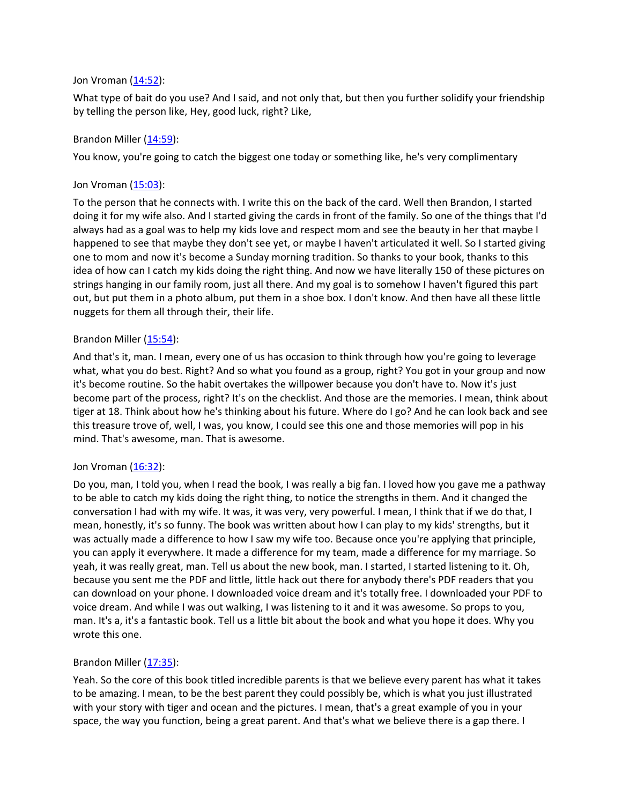#### Jon Vroman [\(14:52](https://www.temi.com/editor/t/bL6P-TX6fXqVipUc8fmULbESqGqlj6Mn2QDj7Tl-dwnyyYWyWaCl54z7sPxfksMYqP5UTlXZbiJ1fNX70jVK3djCJkg?loadFrom=DocumentDeeplink&ts=892.01)):

What type of bait do you use? And I said, and not only that, but then you further solidify your friendship by telling the person like, Hey, good luck, right? Like,

### Brandon Miller  $(14:59)$  $(14:59)$  $(14:59)$ :

You know, you're going to catch the biggest one today or something like, he's very complimentary

### Jon Vroman [\(15:03](https://www.temi.com/editor/t/bL6P-TX6fXqVipUc8fmULbESqGqlj6Mn2QDj7Tl-dwnyyYWyWaCl54z7sPxfksMYqP5UTlXZbiJ1fNX70jVK3djCJkg?loadFrom=DocumentDeeplink&ts=903.31)):

To the person that he connects with. I write this on the back of the card. Well then Brandon, I started doing it for my wife also. And I started giving the cards in front of the family. So one of the things that I'd always had as a goal was to help my kids love and respect mom and see the beauty in her that maybe I happened to see that maybe they don't see yet, or maybe I haven't articulated it well. So I started giving one to mom and now it's become a Sunday morning tradition. So thanks to your book, thanks to this idea of how can I catch my kids doing the right thing. And now we have literally 150 of these pictures on strings hanging in our family room, just all there. And my goal is to somehow I haven't figured this part out, but put them in a photo album, put them in a shoe box. I don't know. And then have all these little nuggets for them all through their, their life.

### Brandon Miller ([15:54](https://www.temi.com/editor/t/bL6P-TX6fXqVipUc8fmULbESqGqlj6Mn2QDj7Tl-dwnyyYWyWaCl54z7sPxfksMYqP5UTlXZbiJ1fNX70jVK3djCJkg?loadFrom=DocumentDeeplink&ts=954.7)):

And that's it, man. I mean, every one of us has occasion to think through how you're going to leverage what, what you do best. Right? And so what you found as a group, right? You got in your group and now it's become routine. So the habit overtakes the willpower because you don't have to. Now it's just become part of the process, right? It's on the checklist. And those are the memories. I mean, think about tiger at 18. Think about how he's thinking about his future. Where do I go? And he can look back and see this treasure trove of, well, I was, you know, I could see this one and those memories will pop in his mind. That's awesome, man. That is awesome.

#### Jon Vroman [\(16:32](https://www.temi.com/editor/t/bL6P-TX6fXqVipUc8fmULbESqGqlj6Mn2QDj7Tl-dwnyyYWyWaCl54z7sPxfksMYqP5UTlXZbiJ1fNX70jVK3djCJkg?loadFrom=DocumentDeeplink&ts=992.5)):

Do you, man, I told you, when I read the book, I was really a big fan. I loved how you gave me a pathway to be able to catch my kids doing the right thing, to notice the strengths in them. And it changed the conversation I had with my wife. It was, it was very, very powerful. I mean, I think that if we do that, I mean, honestly, it's so funny. The book was written about how I can play to my kids' strengths, but it was actually made a difference to how I saw my wife too. Because once you're applying that principle, you can apply it everywhere. It made a difference for my team, made a difference for my marriage. So yeah, it was really great, man. Tell us about the new book, man. I started, I started listening to it. Oh, because you sent me the PDF and little, little hack out there for anybody there's PDF readers that you can download on your phone. I downloaded voice dream and it's totally free. I downloaded your PDF to voice dream. And while I was out walking, I was listening to it and it was awesome. So props to you, man. It's a, it's a fantastic book. Tell us a little bit about the book and what you hope it does. Why you wrote this one.

## Brandon Miller  $(17:35)$  $(17:35)$  $(17:35)$ :

Yeah. So the core of this book titled incredible parents is that we believe every parent has what it takes to be amazing. I mean, to be the best parent they could possibly be, which is what you just illustrated with your story with tiger and ocean and the pictures. I mean, that's a great example of you in your space, the way you function, being a great parent. And that's what we believe there is a gap there. I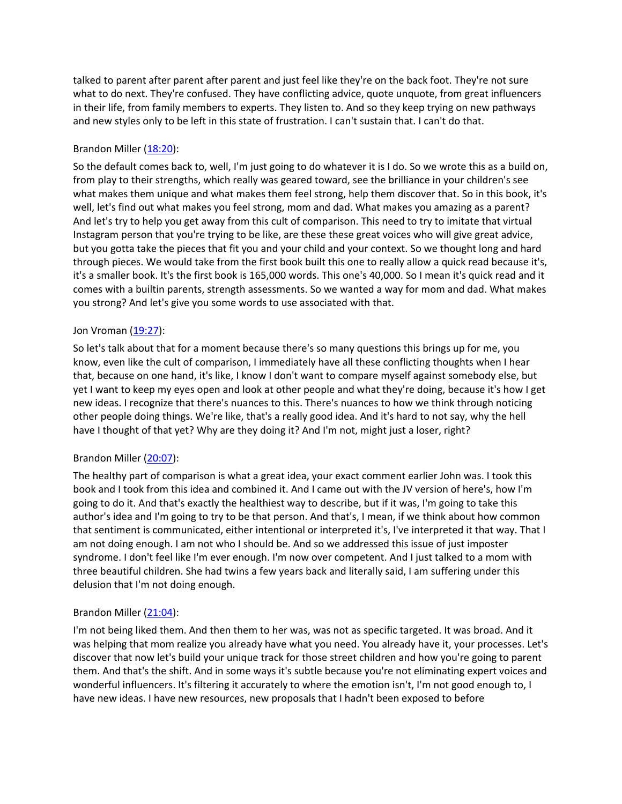talked to parent after parent after parent and just feel like they're on the back foot. They're not sure what to do next. They're confused. They have conflicting advice, quote unquote, from great influencers in their life, from family members to experts. They listen to. And so they keep trying on new pathways and new styles only to be left in this state of frustration. I can't sustain that. I can't do that.

# Brandon Miller ([18:20](https://www.temi.com/editor/t/bL6P-TX6fXqVipUc8fmULbESqGqlj6Mn2QDj7Tl-dwnyyYWyWaCl54z7sPxfksMYqP5UTlXZbiJ1fNX70jVK3djCJkg?loadFrom=DocumentDeeplink&ts=1100.82)):

So the default comes back to, well, I'm just going to do whatever it is I do. So we wrote this as a build on, from play to their strengths, which really was geared toward, see the brilliance in your children's see what makes them unique and what makes them feel strong, help them discover that. So in this book, it's well, let's find out what makes you feel strong, mom and dad. What makes you amazing as a parent? And let's try to help you get away from this cult of comparison. This need to try to imitate that virtual Instagram person that you're trying to be like, are these these great voices who will give great advice, but you gotta take the pieces that fit you and your child and your context. So we thought long and hard through pieces. We would take from the first book built this one to really allow a quick read because it's, it's a smaller book. It's the first book is 165,000 words. This one's 40,000. So I mean it's quick read and it comes with a builtin parents, strength assessments. So we wanted a way for mom and dad. What makes you strong? And let's give you some words to use associated with that.

## Jon Vroman [\(19:27](https://www.temi.com/editor/t/bL6P-TX6fXqVipUc8fmULbESqGqlj6Mn2QDj7Tl-dwnyyYWyWaCl54z7sPxfksMYqP5UTlXZbiJ1fNX70jVK3djCJkg?loadFrom=DocumentDeeplink&ts=1167.47)):

So let's talk about that for a moment because there's so many questions this brings up for me, you know, even like the cult of comparison, I immediately have all these conflicting thoughts when I hear that, because on one hand, it's like, I know I don't want to compare myself against somebody else, but yet I want to keep my eyes open and look at other people and what they're doing, because it's how I get new ideas. I recognize that there's nuances to this. There's nuances to how we think through noticing other people doing things. We're like, that's a really good idea. And it's hard to not say, why the hell have I thought of that yet? Why are they doing it? And I'm not, might just a loser, right?

# Brandon Miller ([20:07](https://www.temi.com/editor/t/bL6P-TX6fXqVipUc8fmULbESqGqlj6Mn2QDj7Tl-dwnyyYWyWaCl54z7sPxfksMYqP5UTlXZbiJ1fNX70jVK3djCJkg?loadFrom=DocumentDeeplink&ts=1207.22)):

The healthy part of comparison is what a great idea, your exact comment earlier John was. I took this book and I took from this idea and combined it. And I came out with the JV version of here's, how I'm going to do it. And that's exactly the healthiest way to describe, but if it was, I'm going to take this author's idea and I'm going to try to be that person. And that's, I mean, if we think about how common that sentiment is communicated, either intentional or interpreted it's, I've interpreted it that way. That I am not doing enough. I am not who I should be. And so we addressed this issue of just imposter syndrome. I don't feel like I'm ever enough. I'm now over competent. And I just talked to a mom with three beautiful children. She had twins a few years back and literally said, I am suffering under this delusion that I'm not doing enough.

## Brandon Miller ([21:04](https://www.temi.com/editor/t/bL6P-TX6fXqVipUc8fmULbESqGqlj6Mn2QDj7Tl-dwnyyYWyWaCl54z7sPxfksMYqP5UTlXZbiJ1fNX70jVK3djCJkg?loadFrom=DocumentDeeplink&ts=1264.3)):

I'm not being liked them. And then them to her was, was not as specific targeted. It was broad. And it was helping that mom realize you already have what you need. You already have it, your processes. Let's discover that now let's build your unique track for those street children and how you're going to parent them. And that's the shift. And in some ways it's subtle because you're not eliminating expert voices and wonderful influencers. It's filtering it accurately to where the emotion isn't, I'm not good enough to, I have new ideas. I have new resources, new proposals that I hadn't been exposed to before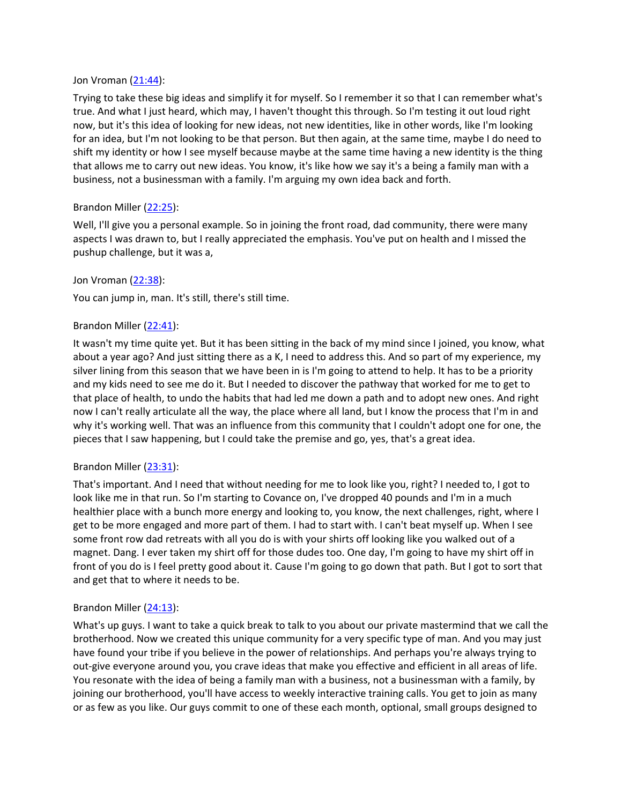#### Jon Vroman [\(21:44](https://www.temi.com/editor/t/bL6P-TX6fXqVipUc8fmULbESqGqlj6Mn2QDj7Tl-dwnyyYWyWaCl54z7sPxfksMYqP5UTlXZbiJ1fNX70jVK3djCJkg?loadFrom=DocumentDeeplink&ts=1304.13)):

Trying to take these big ideas and simplify it for myself. So I remember it so that I can remember what's true. And what I just heard, which may, I haven't thought this through. So I'm testing it out loud right now, but it's this idea of looking for new ideas, not new identities, like in other words, like I'm looking for an idea, but I'm not looking to be that person. But then again, at the same time, maybe I do need to shift my identity or how I see myself because maybe at the same time having a new identity is the thing that allows me to carry out new ideas. You know, it's like how we say it's a being a family man with a business, not a businessman with a family. I'm arguing my own idea back and forth.

## Brandon Miller ([22:25](https://www.temi.com/editor/t/bL6P-TX6fXqVipUc8fmULbESqGqlj6Mn2QDj7Tl-dwnyyYWyWaCl54z7sPxfksMYqP5UTlXZbiJ1fNX70jVK3djCJkg?loadFrom=DocumentDeeplink&ts=1345.59)):

Well, I'll give you a personal example. So in joining the front road, dad community, there were many aspects I was drawn to, but I really appreciated the emphasis. You've put on health and I missed the pushup challenge, but it was a,

## Jon Vroman [\(22:38](https://www.temi.com/editor/t/bL6P-TX6fXqVipUc8fmULbESqGqlj6Mn2QDj7Tl-dwnyyYWyWaCl54z7sPxfksMYqP5UTlXZbiJ1fNX70jVK3djCJkg?loadFrom=DocumentDeeplink&ts=1358.13)):

You can jump in, man. It's still, there's still time.

# Brandon Miller ([22:41](https://www.temi.com/editor/t/bL6P-TX6fXqVipUc8fmULbESqGqlj6Mn2QDj7Tl-dwnyyYWyWaCl54z7sPxfksMYqP5UTlXZbiJ1fNX70jVK3djCJkg?loadFrom=DocumentDeeplink&ts=1361.55)):

It wasn't my time quite yet. But it has been sitting in the back of my mind since I joined, you know, what about a year ago? And just sitting there as a K, I need to address this. And so part of my experience, my silver lining from this season that we have been in is I'm going to attend to help. It has to be a priority and my kids need to see me do it. But I needed to discover the pathway that worked for me to get to that place of health, to undo the habits that had led me down a path and to adopt new ones. And right now I can't really articulate all the way, the place where all land, but I know the process that I'm in and why it's working well. That was an influence from this community that I couldn't adopt one for one, the pieces that I saw happening, but I could take the premise and go, yes, that's a great idea.

## Brandon Miller ([23:31](https://www.temi.com/editor/t/bL6P-TX6fXqVipUc8fmULbESqGqlj6Mn2QDj7Tl-dwnyyYWyWaCl54z7sPxfksMYqP5UTlXZbiJ1fNX70jVK3djCJkg?loadFrom=DocumentDeeplink&ts=1411.32)):

That's important. And I need that without needing for me to look like you, right? I needed to, I got to look like me in that run. So I'm starting to Covance on, I've dropped 40 pounds and I'm in a much healthier place with a bunch more energy and looking to, you know, the next challenges, right, where I get to be more engaged and more part of them. I had to start with. I can't beat myself up. When I see some front row dad retreats with all you do is with your shirts off looking like you walked out of a magnet. Dang. I ever taken my shirt off for those dudes too. One day, I'm going to have my shirt off in front of you do is I feel pretty good about it. Cause I'm going to go down that path. But I got to sort that and get that to where it needs to be.

## Brandon Miller ([24:13](https://www.temi.com/editor/t/bL6P-TX6fXqVipUc8fmULbESqGqlj6Mn2QDj7Tl-dwnyyYWyWaCl54z7sPxfksMYqP5UTlXZbiJ1fNX70jVK3djCJkg?loadFrom=DocumentDeeplink&ts=1453.06)):

What's up guys. I want to take a quick break to talk to you about our private mastermind that we call the brotherhood. Now we created this unique community for a very specific type of man. And you may just have found your tribe if you believe in the power of relationships. And perhaps you're always trying to out-give everyone around you, you crave ideas that make you effective and efficient in all areas of life. You resonate with the idea of being a family man with a business, not a businessman with a family, by joining our brotherhood, you'll have access to weekly interactive training calls. You get to join as many or as few as you like. Our guys commit to one of these each month, optional, small groups designed to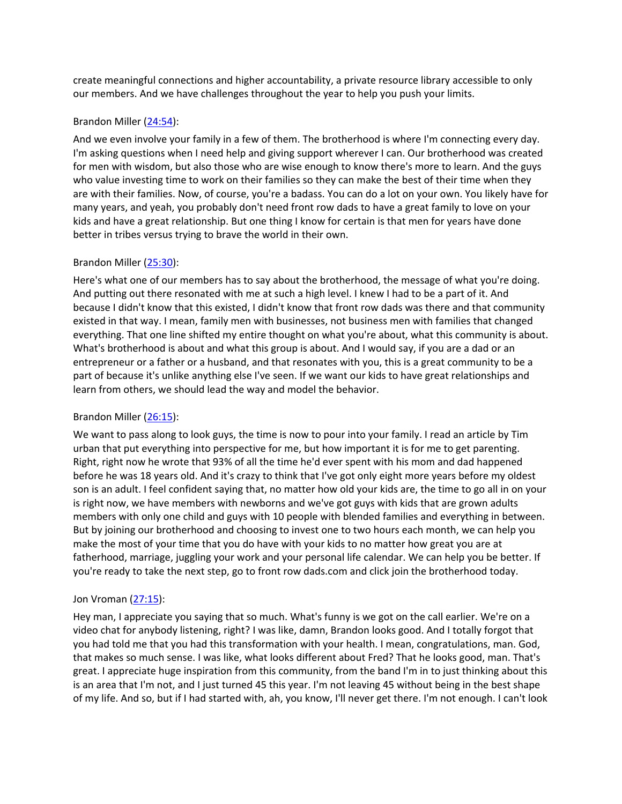create meaningful connections and higher accountability, a private resource library accessible to only our members. And we have challenges throughout the year to help you push your limits.

## Brandon Miller ([24:54](https://www.temi.com/editor/t/bL6P-TX6fXqVipUc8fmULbESqGqlj6Mn2QDj7Tl-dwnyyYWyWaCl54z7sPxfksMYqP5UTlXZbiJ1fNX70jVK3djCJkg?loadFrom=DocumentDeeplink&ts=1494.04)):

And we even involve your family in a few of them. The brotherhood is where I'm connecting every day. I'm asking questions when I need help and giving support wherever I can. Our brotherhood was created for men with wisdom, but also those who are wise enough to know there's more to learn. And the guys who value investing time to work on their families so they can make the best of their time when they are with their families. Now, of course, you're a badass. You can do a lot on your own. You likely have for many years, and yeah, you probably don't need front row dads to have a great family to love on your kids and have a great relationship. But one thing I know for certain is that men for years have done better in tribes versus trying to brave the world in their own.

## Brandon Miller ([25:30](https://www.temi.com/editor/t/bL6P-TX6fXqVipUc8fmULbESqGqlj6Mn2QDj7Tl-dwnyyYWyWaCl54z7sPxfksMYqP5UTlXZbiJ1fNX70jVK3djCJkg?loadFrom=DocumentDeeplink&ts=1530.43)):

Here's what one of our members has to say about the brotherhood, the message of what you're doing. And putting out there resonated with me at such a high level. I knew I had to be a part of it. And because I didn't know that this existed, I didn't know that front row dads was there and that community existed in that way. I mean, family men with businesses, not business men with families that changed everything. That one line shifted my entire thought on what you're about, what this community is about. What's brotherhood is about and what this group is about. And I would say, if you are a dad or an entrepreneur or a father or a husband, and that resonates with you, this is a great community to be a part of because it's unlike anything else I've seen. If we want our kids to have great relationships and learn from others, we should lead the way and model the behavior.

## Brandon Miller ([26:15](https://www.temi.com/editor/t/bL6P-TX6fXqVipUc8fmULbESqGqlj6Mn2QDj7Tl-dwnyyYWyWaCl54z7sPxfksMYqP5UTlXZbiJ1fNX70jVK3djCJkg?loadFrom=DocumentDeeplink&ts=1575.73)):

We want to pass along to look guys, the time is now to pour into your family. I read an article by Tim urban that put everything into perspective for me, but how important it is for me to get parenting. Right, right now he wrote that 93% of all the time he'd ever spent with his mom and dad happened before he was 18 years old. And it's crazy to think that I've got only eight more years before my oldest son is an adult. I feel confident saying that, no matter how old your kids are, the time to go all in on your is right now, we have members with newborns and we've got guys with kids that are grown adults members with only one child and guys with 10 people with blended families and everything in between. But by joining our brotherhood and choosing to invest one to two hours each month, we can help you make the most of your time that you do have with your kids to no matter how great you are at fatherhood, marriage, juggling your work and your personal life calendar. We can help you be better. If you're ready to take the next step, go to front row dads.com and click join the brotherhood today.

#### Jon Vroman [\(27:15](https://www.temi.com/editor/t/bL6P-TX6fXqVipUc8fmULbESqGqlj6Mn2QDj7Tl-dwnyyYWyWaCl54z7sPxfksMYqP5UTlXZbiJ1fNX70jVK3djCJkg?loadFrom=DocumentDeeplink&ts=1635.86)):

Hey man, I appreciate you saying that so much. What's funny is we got on the call earlier. We're on a video chat for anybody listening, right? I was like, damn, Brandon looks good. And I totally forgot that you had told me that you had this transformation with your health. I mean, congratulations, man. God, that makes so much sense. I was like, what looks different about Fred? That he looks good, man. That's great. I appreciate huge inspiration from this community, from the band I'm in to just thinking about this is an area that I'm not, and I just turned 45 this year. I'm not leaving 45 without being in the best shape of my life. And so, but if I had started with, ah, you know, I'll never get there. I'm not enough. I can't look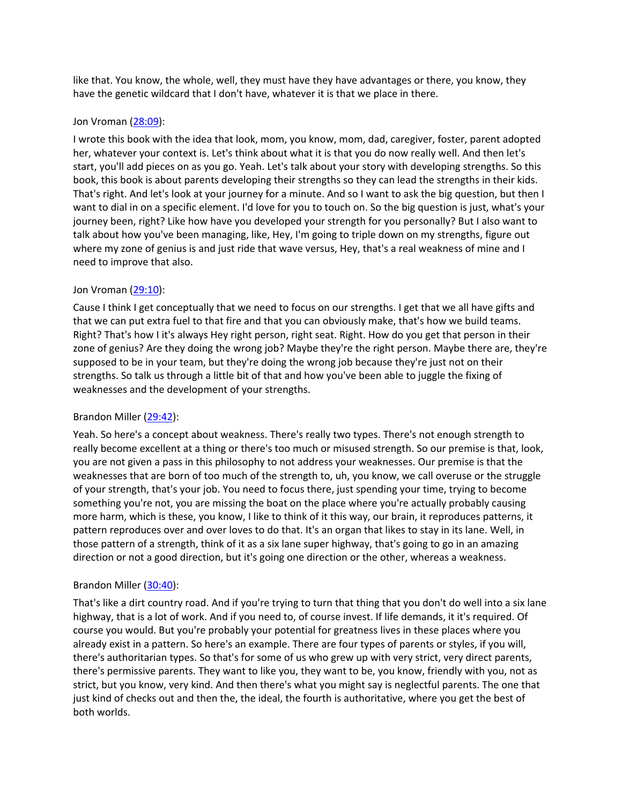like that. You know, the whole, well, they must have they have advantages or there, you know, they have the genetic wildcard that I don't have, whatever it is that we place in there.

### Jon Vroman [\(28:09](https://www.temi.com/editor/t/bL6P-TX6fXqVipUc8fmULbESqGqlj6Mn2QDj7Tl-dwnyyYWyWaCl54z7sPxfksMYqP5UTlXZbiJ1fNX70jVK3djCJkg?loadFrom=DocumentDeeplink&ts=1689.53)):

I wrote this book with the idea that look, mom, you know, mom, dad, caregiver, foster, parent adopted her, whatever your context is. Let's think about what it is that you do now really well. And then let's start, you'll add pieces on as you go. Yeah. Let's talk about your story with developing strengths. So this book, this book is about parents developing their strengths so they can lead the strengths in their kids. That's right. And let's look at your journey for a minute. And so I want to ask the big question, but then I want to dial in on a specific element. I'd love for you to touch on. So the big question is just, what's your journey been, right? Like how have you developed your strength for you personally? But I also want to talk about how you've been managing, like, Hey, I'm going to triple down on my strengths, figure out where my zone of genius is and just ride that wave versus, Hey, that's a real weakness of mine and I need to improve that also.

### Jon Vroman [\(29:10](https://www.temi.com/editor/t/bL6P-TX6fXqVipUc8fmULbESqGqlj6Mn2QDj7Tl-dwnyyYWyWaCl54z7sPxfksMYqP5UTlXZbiJ1fNX70jVK3djCJkg?loadFrom=DocumentDeeplink&ts=1750.04)):

Cause I think I get conceptually that we need to focus on our strengths. I get that we all have gifts and that we can put extra fuel to that fire and that you can obviously make, that's how we build teams. Right? That's how I it's always Hey right person, right seat. Right. How do you get that person in their zone of genius? Are they doing the wrong job? Maybe they're the right person. Maybe there are, they're supposed to be in your team, but they're doing the wrong job because they're just not on their strengths. So talk us through a little bit of that and how you've been able to juggle the fixing of weaknesses and the development of your strengths.

## Brandon Miller ([29:42](https://www.temi.com/editor/t/bL6P-TX6fXqVipUc8fmULbESqGqlj6Mn2QDj7Tl-dwnyyYWyWaCl54z7sPxfksMYqP5UTlXZbiJ1fNX70jVK3djCJkg?loadFrom=DocumentDeeplink&ts=1782.19)):

Yeah. So here's a concept about weakness. There's really two types. There's not enough strength to really become excellent at a thing or there's too much or misused strength. So our premise is that, look, you are not given a pass in this philosophy to not address your weaknesses. Our premise is that the weaknesses that are born of too much of the strength to, uh, you know, we call overuse or the struggle of your strength, that's your job. You need to focus there, just spending your time, trying to become something you're not, you are missing the boat on the place where you're actually probably causing more harm, which is these, you know, I like to think of it this way, our brain, it reproduces patterns, it pattern reproduces over and over loves to do that. It's an organ that likes to stay in its lane. Well, in those pattern of a strength, think of it as a six lane super highway, that's going to go in an amazing direction or not a good direction, but it's going one direction or the other, whereas a weakness.

## Brandon Miller ([30:40](https://www.temi.com/editor/t/bL6P-TX6fXqVipUc8fmULbESqGqlj6Mn2QDj7Tl-dwnyyYWyWaCl54z7sPxfksMYqP5UTlXZbiJ1fNX70jVK3djCJkg?loadFrom=DocumentDeeplink&ts=1840.69)):

That's like a dirt country road. And if you're trying to turn that thing that you don't do well into a six lane highway, that is a lot of work. And if you need to, of course invest. If life demands, it it's required. Of course you would. But you're probably your potential for greatness lives in these places where you already exist in a pattern. So here's an example. There are four types of parents or styles, if you will, there's authoritarian types. So that's for some of us who grew up with very strict, very direct parents, there's permissive parents. They want to like you, they want to be, you know, friendly with you, not as strict, but you know, very kind. And then there's what you might say is neglectful parents. The one that just kind of checks out and then the, the ideal, the fourth is authoritative, where you get the best of both worlds.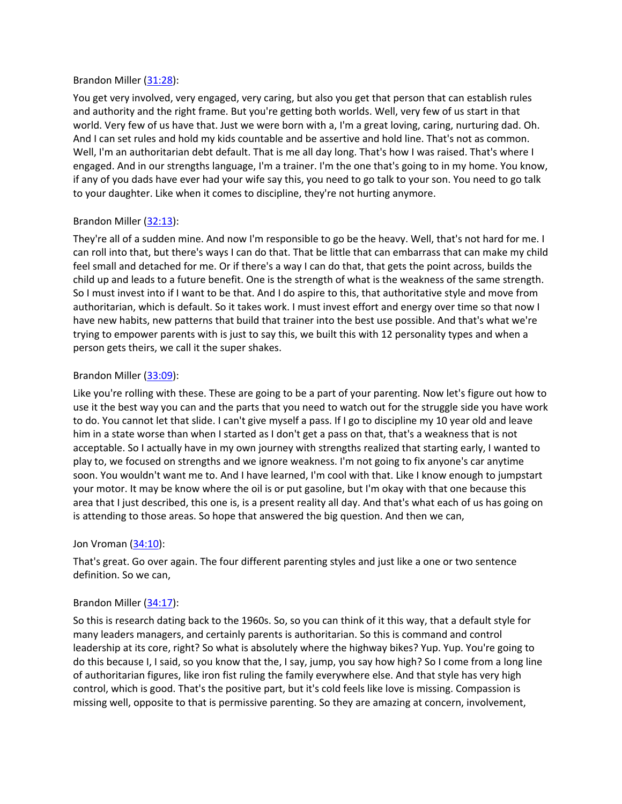### Brandon Miller ([31:28](https://www.temi.com/editor/t/bL6P-TX6fXqVipUc8fmULbESqGqlj6Mn2QDj7Tl-dwnyyYWyWaCl54z7sPxfksMYqP5UTlXZbiJ1fNX70jVK3djCJkg?loadFrom=DocumentDeeplink&ts=1888.36)):

You get very involved, very engaged, very caring, but also you get that person that can establish rules and authority and the right frame. But you're getting both worlds. Well, very few of us start in that world. Very few of us have that. Just we were born with a, I'm a great loving, caring, nurturing dad. Oh. And I can set rules and hold my kids countable and be assertive and hold line. That's not as common. Well, I'm an authoritarian debt default. That is me all day long. That's how I was raised. That's where I engaged. And in our strengths language, I'm a trainer. I'm the one that's going to in my home. You know, if any of you dads have ever had your wife say this, you need to go talk to your son. You need to go talk to your daughter. Like when it comes to discipline, they're not hurting anymore.

# Brandon Miller ([32:13](https://www.temi.com/editor/t/bL6P-TX6fXqVipUc8fmULbESqGqlj6Mn2QDj7Tl-dwnyyYWyWaCl54z7sPxfksMYqP5UTlXZbiJ1fNX70jVK3djCJkg?loadFrom=DocumentDeeplink&ts=1933.93)):

They're all of a sudden mine. And now I'm responsible to go be the heavy. Well, that's not hard for me. I can roll into that, but there's ways I can do that. That be little that can embarrass that can make my child feel small and detached for me. Or if there's a way I can do that, that gets the point across, builds the child up and leads to a future benefit. One is the strength of what is the weakness of the same strength. So I must invest into if I want to be that. And I do aspire to this, that authoritative style and move from authoritarian, which is default. So it takes work. I must invest effort and energy over time so that now I have new habits, new patterns that build that trainer into the best use possible. And that's what we're trying to empower parents with is just to say this, we built this with 12 personality types and when a person gets theirs, we call it the super shakes.

## Brandon Miller ([33:09](https://www.temi.com/editor/t/bL6P-TX6fXqVipUc8fmULbESqGqlj6Mn2QDj7Tl-dwnyyYWyWaCl54z7sPxfksMYqP5UTlXZbiJ1fNX70jVK3djCJkg?loadFrom=DocumentDeeplink&ts=1989.26)):

Like you're rolling with these. These are going to be a part of your parenting. Now let's figure out how to use it the best way you can and the parts that you need to watch out for the struggle side you have work to do. You cannot let that slide. I can't give myself a pass. If I go to discipline my 10 year old and leave him in a state worse than when I started as I don't get a pass on that, that's a weakness that is not acceptable. So I actually have in my own journey with strengths realized that starting early, I wanted to play to, we focused on strengths and we ignore weakness. I'm not going to fix anyone's car anytime soon. You wouldn't want me to. And I have learned, I'm cool with that. Like I know enough to jumpstart your motor. It may be know where the oil is or put gasoline, but I'm okay with that one because this area that I just described, this one is, is a present reality all day. And that's what each of us has going on is attending to those areas. So hope that answered the big question. And then we can,

## Jon Vroman [\(34:10](https://www.temi.com/editor/t/bL6P-TX6fXqVipUc8fmULbESqGqlj6Mn2QDj7Tl-dwnyyYWyWaCl54z7sPxfksMYqP5UTlXZbiJ1fNX70jVK3djCJkg?loadFrom=DocumentDeeplink&ts=2050.06)):

That's great. Go over again. The four different parenting styles and just like a one or two sentence definition. So we can,

## Brandon Miller ([34:17](https://www.temi.com/editor/t/bL6P-TX6fXqVipUc8fmULbESqGqlj6Mn2QDj7Tl-dwnyyYWyWaCl54z7sPxfksMYqP5UTlXZbiJ1fNX70jVK3djCJkg?loadFrom=DocumentDeeplink&ts=2057.77)):

So this is research dating back to the 1960s. So, so you can think of it this way, that a default style for many leaders managers, and certainly parents is authoritarian. So this is command and control leadership at its core, right? So what is absolutely where the highway bikes? Yup. Yup. You're going to do this because I, I said, so you know that the, I say, jump, you say how high? So I come from a long line of authoritarian figures, like iron fist ruling the family everywhere else. And that style has very high control, which is good. That's the positive part, but it's cold feels like love is missing. Compassion is missing well, opposite to that is permissive parenting. So they are amazing at concern, involvement,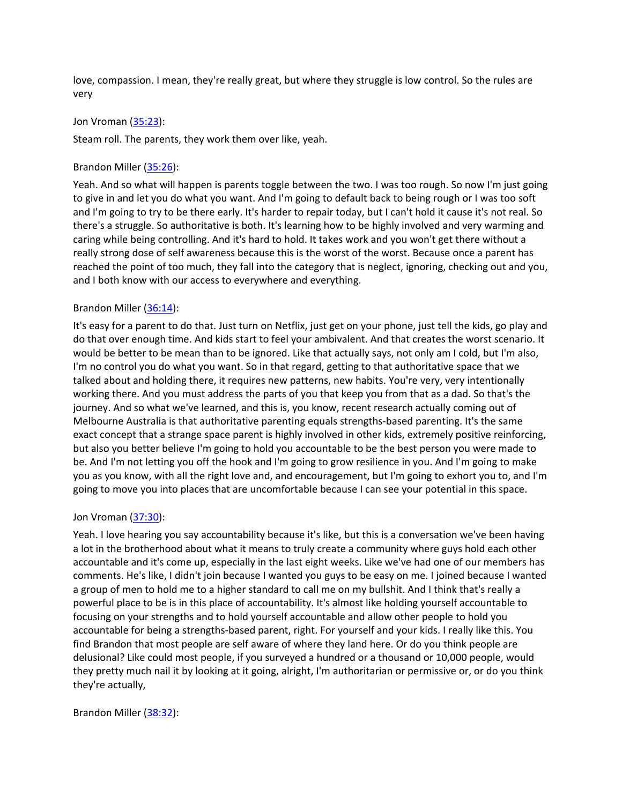love, compassion. I mean, they're really great, but where they struggle is low control. So the rules are very

### Jon Vroman [\(35:23](https://www.temi.com/editor/t/bL6P-TX6fXqVipUc8fmULbESqGqlj6Mn2QDj7Tl-dwnyyYWyWaCl54z7sPxfksMYqP5UTlXZbiJ1fNX70jVK3djCJkg?loadFrom=DocumentDeeplink&ts=2123.32)):

Steam roll. The parents, they work them over like, yeah.

## Brandon Miller ([35:26](https://www.temi.com/editor/t/bL6P-TX6fXqVipUc8fmULbESqGqlj6Mn2QDj7Tl-dwnyyYWyWaCl54z7sPxfksMYqP5UTlXZbiJ1fNX70jVK3djCJkg?loadFrom=DocumentDeeplink&ts=2126.5)):

Yeah. And so what will happen is parents toggle between the two. I was too rough. So now I'm just going to give in and let you do what you want. And I'm going to default back to being rough or I was too soft and I'm going to try to be there early. It's harder to repair today, but I can't hold it cause it's not real. So there's a struggle. So authoritative is both. It's learning how to be highly involved and very warming and caring while being controlling. And it's hard to hold. It takes work and you won't get there without a really strong dose of self awareness because this is the worst of the worst. Because once a parent has reached the point of too much, they fall into the category that is neglect, ignoring, checking out and you, and I both know with our access to everywhere and everything.

## Brandon Miller ([36:14](https://www.temi.com/editor/t/bL6P-TX6fXqVipUc8fmULbESqGqlj6Mn2QDj7Tl-dwnyyYWyWaCl54z7sPxfksMYqP5UTlXZbiJ1fNX70jVK3djCJkg?loadFrom=DocumentDeeplink&ts=2174.52)):

It's easy for a parent to do that. Just turn on Netflix, just get on your phone, just tell the kids, go play and do that over enough time. And kids start to feel your ambivalent. And that creates the worst scenario. It would be better to be mean than to be ignored. Like that actually says, not only am I cold, but I'm also, I'm no control you do what you want. So in that regard, getting to that authoritative space that we talked about and holding there, it requires new patterns, new habits. You're very, very intentionally working there. And you must address the parts of you that keep you from that as a dad. So that's the journey. And so what we've learned, and this is, you know, recent research actually coming out of Melbourne Australia is that authoritative parenting equals strengths-based parenting. It's the same exact concept that a strange space parent is highly involved in other kids, extremely positive reinforcing, but also you better believe I'm going to hold you accountable to be the best person you were made to be. And I'm not letting you off the hook and I'm going to grow resilience in you. And I'm going to make you as you know, with all the right love and, and encouragement, but I'm going to exhort you to, and I'm going to move you into places that are uncomfortable because I can see your potential in this space.

## Jon Vroman [\(37:30](https://www.temi.com/editor/t/bL6P-TX6fXqVipUc8fmULbESqGqlj6Mn2QDj7Tl-dwnyyYWyWaCl54z7sPxfksMYqP5UTlXZbiJ1fNX70jVK3djCJkg?loadFrom=DocumentDeeplink&ts=2250.04)):

Yeah. I love hearing you say accountability because it's like, but this is a conversation we've been having a lot in the brotherhood about what it means to truly create a community where guys hold each other accountable and it's come up, especially in the last eight weeks. Like we've had one of our members has comments. He's like, I didn't join because I wanted you guys to be easy on me. I joined because I wanted a group of men to hold me to a higher standard to call me on my bullshit. And I think that's really a powerful place to be is in this place of accountability. It's almost like holding yourself accountable to focusing on your strengths and to hold yourself accountable and allow other people to hold you accountable for being a strengths-based parent, right. For yourself and your kids. I really like this. You find Brandon that most people are self aware of where they land here. Or do you think people are delusional? Like could most people, if you surveyed a hundred or a thousand or 10,000 people, would they pretty much nail it by looking at it going, alright, I'm authoritarian or permissive or, or do you think they're actually,

#### Brandon Miller ([38:32](https://www.temi.com/editor/t/bL6P-TX6fXqVipUc8fmULbESqGqlj6Mn2QDj7Tl-dwnyyYWyWaCl54z7sPxfksMYqP5UTlXZbiJ1fNX70jVK3djCJkg?loadFrom=DocumentDeeplink&ts=2312.54)):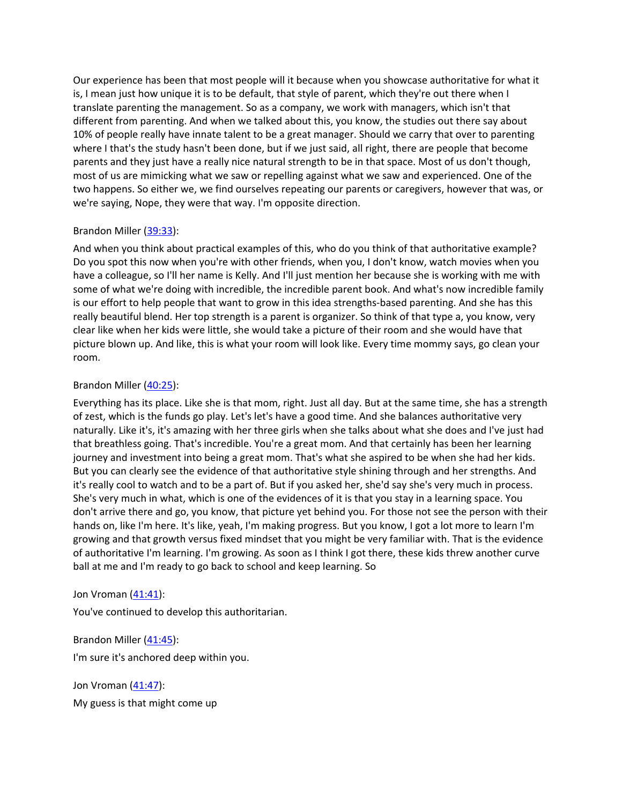Our experience has been that most people will it because when you showcase authoritative for what it is, I mean just how unique it is to be default, that style of parent, which they're out there when I translate parenting the management. So as a company, we work with managers, which isn't that different from parenting. And when we talked about this, you know, the studies out there say about 10% of people really have innate talent to be a great manager. Should we carry that over to parenting where I that's the study hasn't been done, but if we just said, all right, there are people that become parents and they just have a really nice natural strength to be in that space. Most of us don't though, most of us are mimicking what we saw or repelling against what we saw and experienced. One of the two happens. So either we, we find ourselves repeating our parents or caregivers, however that was, or we're saying, Nope, they were that way. I'm opposite direction.

## Brandon Miller ([39:33](https://www.temi.com/editor/t/bL6P-TX6fXqVipUc8fmULbESqGqlj6Mn2QDj7Tl-dwnyyYWyWaCl54z7sPxfksMYqP5UTlXZbiJ1fNX70jVK3djCJkg?loadFrom=DocumentDeeplink&ts=2373.88)):

And when you think about practical examples of this, who do you think of that authoritative example? Do you spot this now when you're with other friends, when you, I don't know, watch movies when you have a colleague, so I'll her name is Kelly. And I'll just mention her because she is working with me with some of what we're doing with incredible, the incredible parent book. And what's now incredible family is our effort to help people that want to grow in this idea strengths-based parenting. And she has this really beautiful blend. Her top strength is a parent is organizer. So think of that type a, you know, very clear like when her kids were little, she would take a picture of their room and she would have that picture blown up. And like, this is what your room will look like. Every time mommy says, go clean your room.

## Brandon Miller ([40:25](https://www.temi.com/editor/t/bL6P-TX6fXqVipUc8fmULbESqGqlj6Mn2QDj7Tl-dwnyyYWyWaCl54z7sPxfksMYqP5UTlXZbiJ1fNX70jVK3djCJkg?loadFrom=DocumentDeeplink&ts=2425.11)):

Everything has its place. Like she is that mom, right. Just all day. But at the same time, she has a strength of zest, which is the funds go play. Let's let's have a good time. And she balances authoritative very naturally. Like it's, it's amazing with her three girls when she talks about what she does and I've just had that breathless going. That's incredible. You're a great mom. And that certainly has been her learning journey and investment into being a great mom. That's what she aspired to be when she had her kids. But you can clearly see the evidence of that authoritative style shining through and her strengths. And it's really cool to watch and to be a part of. But if you asked her, she'd say she's very much in process. She's very much in what, which is one of the evidences of it is that you stay in a learning space. You don't arrive there and go, you know, that picture yet behind you. For those not see the person with their hands on, like I'm here. It's like, yeah, I'm making progress. But you know, I got a lot more to learn I'm growing and that growth versus fixed mindset that you might be very familiar with. That is the evidence of authoritative I'm learning. I'm growing. As soon as I think I got there, these kids threw another curve ball at me and I'm ready to go back to school and keep learning. So

## Jon Vroman [\(41:41](https://www.temi.com/editor/t/bL6P-TX6fXqVipUc8fmULbESqGqlj6Mn2QDj7Tl-dwnyyYWyWaCl54z7sPxfksMYqP5UTlXZbiJ1fNX70jVK3djCJkg?loadFrom=DocumentDeeplink&ts=2501.62)):

You've continued to develop this authoritarian.

Brandon Miller ([41:45](https://www.temi.com/editor/t/bL6P-TX6fXqVipUc8fmULbESqGqlj6Mn2QDj7Tl-dwnyyYWyWaCl54z7sPxfksMYqP5UTlXZbiJ1fNX70jVK3djCJkg?loadFrom=DocumentDeeplink&ts=2505.13)):

I'm sure it's anchored deep within you.

Jon Vroman [\(41:47](https://www.temi.com/editor/t/bL6P-TX6fXqVipUc8fmULbESqGqlj6Mn2QDj7Tl-dwnyyYWyWaCl54z7sPxfksMYqP5UTlXZbiJ1fNX70jVK3djCJkg?loadFrom=DocumentDeeplink&ts=2507.65)): My guess is that might come up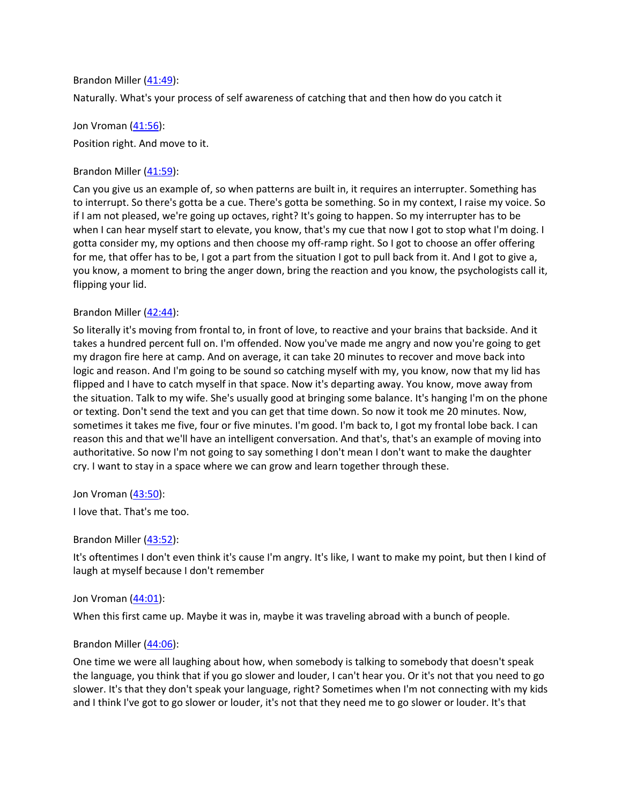Brandon Miller ([41:49](https://www.temi.com/editor/t/bL6P-TX6fXqVipUc8fmULbESqGqlj6Mn2QDj7Tl-dwnyyYWyWaCl54z7sPxfksMYqP5UTlXZbiJ1fNX70jVK3djCJkg?loadFrom=DocumentDeeplink&ts=2509.66)):

Naturally. What's your process of self awareness of catching that and then how do you catch it

Jon Vroman [\(41:56](https://www.temi.com/editor/t/bL6P-TX6fXqVipUc8fmULbESqGqlj6Mn2QDj7Tl-dwnyyYWyWaCl54z7sPxfksMYqP5UTlXZbiJ1fNX70jVK3djCJkg?loadFrom=DocumentDeeplink&ts=2516.38)): Position right. And move to it.

Brandon Miller ([41:59](https://www.temi.com/editor/t/bL6P-TX6fXqVipUc8fmULbESqGqlj6Mn2QDj7Tl-dwnyyYWyWaCl54z7sPxfksMYqP5UTlXZbiJ1fNX70jVK3djCJkg?loadFrom=DocumentDeeplink&ts=2519.47)):

Can you give us an example of, so when patterns are built in, it requires an interrupter. Something has to interrupt. So there's gotta be a cue. There's gotta be something. So in my context, I raise my voice. So if I am not pleased, we're going up octaves, right? It's going to happen. So my interrupter has to be when I can hear myself start to elevate, you know, that's my cue that now I got to stop what I'm doing. I gotta consider my, my options and then choose my off-ramp right. So I got to choose an offer offering for me, that offer has to be, I got a part from the situation I got to pull back from it. And I got to give a, you know, a moment to bring the anger down, bring the reaction and you know, the psychologists call it, flipping your lid.

## Brandon Miller  $(42:44)$  $(42:44)$  $(42:44)$ :

So literally it's moving from frontal to, in front of love, to reactive and your brains that backside. And it takes a hundred percent full on. I'm offended. Now you've made me angry and now you're going to get my dragon fire here at camp. And on average, it can take 20 minutes to recover and move back into logic and reason. And I'm going to be sound so catching myself with my, you know, now that my lid has flipped and I have to catch myself in that space. Now it's departing away. You know, move away from the situation. Talk to my wife. She's usually good at bringing some balance. It's hanging I'm on the phone or texting. Don't send the text and you can get that time down. So now it took me 20 minutes. Now, sometimes it takes me five, four or five minutes. I'm good. I'm back to, I got my frontal lobe back. I can reason this and that we'll have an intelligent conversation. And that's, that's an example of moving into authoritative. So now I'm not going to say something I don't mean I don't want to make the daughter cry. I want to stay in a space where we can grow and learn together through these.

Jon Vroman [\(43:50](https://www.temi.com/editor/t/bL6P-TX6fXqVipUc8fmULbESqGqlj6Mn2QDj7Tl-dwnyyYWyWaCl54z7sPxfksMYqP5UTlXZbiJ1fNX70jVK3djCJkg?loadFrom=DocumentDeeplink&ts=2630.5)):

I love that. That's me too.

Brandon Miller ([43:52](https://www.temi.com/editor/t/bL6P-TX6fXqVipUc8fmULbESqGqlj6Mn2QDj7Tl-dwnyyYWyWaCl54z7sPxfksMYqP5UTlXZbiJ1fNX70jVK3djCJkg?loadFrom=DocumentDeeplink&ts=2632.9)):

It's oftentimes I don't even think it's cause I'm angry. It's like, I want to make my point, but then I kind of laugh at myself because I don't remember

#### Jon Vroman [\(44:01](https://www.temi.com/editor/t/bL6P-TX6fXqVipUc8fmULbESqGqlj6Mn2QDj7Tl-dwnyyYWyWaCl54z7sPxfksMYqP5UTlXZbiJ1fNX70jVK3djCJkg?loadFrom=DocumentDeeplink&ts=2641.39)):

When this first came up. Maybe it was in, maybe it was traveling abroad with a bunch of people.

## Brandon Miller ([44:06](https://www.temi.com/editor/t/bL6P-TX6fXqVipUc8fmULbESqGqlj6Mn2QDj7Tl-dwnyyYWyWaCl54z7sPxfksMYqP5UTlXZbiJ1fNX70jVK3djCJkg?loadFrom=DocumentDeeplink&ts=2646.88)):

One time we were all laughing about how, when somebody is talking to somebody that doesn't speak the language, you think that if you go slower and louder, I can't hear you. Or it's not that you need to go slower. It's that they don't speak your language, right? Sometimes when I'm not connecting with my kids and I think I've got to go slower or louder, it's not that they need me to go slower or louder. It's that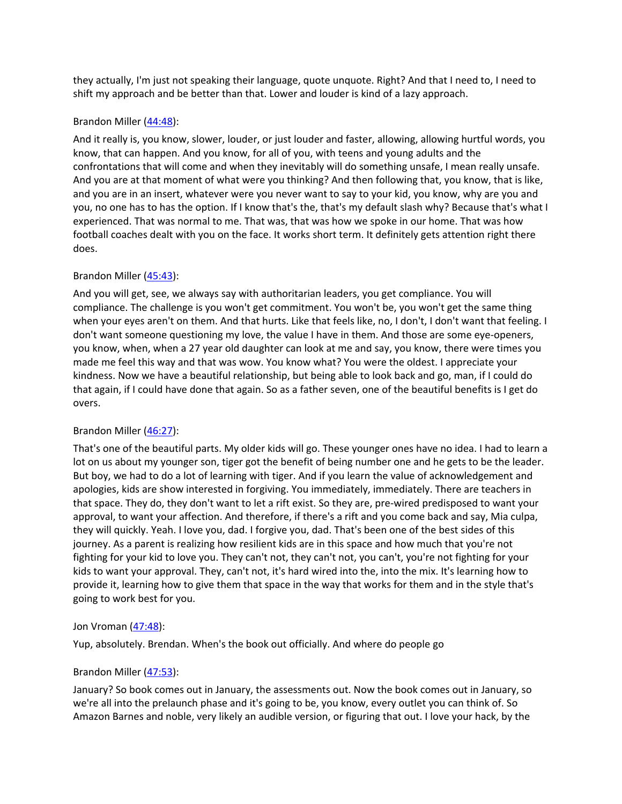they actually, I'm just not speaking their language, quote unquote. Right? And that I need to, I need to shift my approach and be better than that. Lower and louder is kind of a lazy approach.

### Brandon Miller ([44:48](https://www.temi.com/editor/t/bL6P-TX6fXqVipUc8fmULbESqGqlj6Mn2QDj7Tl-dwnyyYWyWaCl54z7sPxfksMYqP5UTlXZbiJ1fNX70jVK3djCJkg?loadFrom=DocumentDeeplink&ts=2688.15)):

And it really is, you know, slower, louder, or just louder and faster, allowing, allowing hurtful words, you know, that can happen. And you know, for all of you, with teens and young adults and the confrontations that will come and when they inevitably will do something unsafe, I mean really unsafe. And you are at that moment of what were you thinking? And then following that, you know, that is like, and you are in an insert, whatever were you never want to say to your kid, you know, why are you and you, no one has to has the option. If I know that's the, that's my default slash why? Because that's what I experienced. That was normal to me. That was, that was how we spoke in our home. That was how football coaches dealt with you on the face. It works short term. It definitely gets attention right there does.

## Brandon Miller ([45:43](https://www.temi.com/editor/t/bL6P-TX6fXqVipUc8fmULbESqGqlj6Mn2QDj7Tl-dwnyyYWyWaCl54z7sPxfksMYqP5UTlXZbiJ1fNX70jVK3djCJkg?loadFrom=DocumentDeeplink&ts=2743.02)):

And you will get, see, we always say with authoritarian leaders, you get compliance. You will compliance. The challenge is you won't get commitment. You won't be, you won't get the same thing when your eyes aren't on them. And that hurts. Like that feels like, no, I don't, I don't want that feeling. I don't want someone questioning my love, the value I have in them. And those are some eye-openers, you know, when, when a 27 year old daughter can look at me and say, you know, there were times you made me feel this way and that was wow. You know what? You were the oldest. I appreciate your kindness. Now we have a beautiful relationship, but being able to look back and go, man, if I could do that again, if I could have done that again. So as a father seven, one of the beautiful benefits is I get do overs.

## Brandon Miller ([46:27](https://www.temi.com/editor/t/bL6P-TX6fXqVipUc8fmULbESqGqlj6Mn2QDj7Tl-dwnyyYWyWaCl54z7sPxfksMYqP5UTlXZbiJ1fNX70jVK3djCJkg?loadFrom=DocumentDeeplink&ts=2787.78)):

That's one of the beautiful parts. My older kids will go. These younger ones have no idea. I had to learn a lot on us about my younger son, tiger got the benefit of being number one and he gets to be the leader. But boy, we had to do a lot of learning with tiger. And if you learn the value of acknowledgement and apologies, kids are show interested in forgiving. You immediately, immediately. There are teachers in that space. They do, they don't want to let a rift exist. So they are, pre-wired predisposed to want your approval, to want your affection. And therefore, if there's a rift and you come back and say, Mia culpa, they will quickly. Yeah. I love you, dad. I forgive you, dad. That's been one of the best sides of this journey. As a parent is realizing how resilient kids are in this space and how much that you're not fighting for your kid to love you. They can't not, they can't not, you can't, you're not fighting for your kids to want your approval. They, can't not, it's hard wired into the, into the mix. It's learning how to provide it, learning how to give them that space in the way that works for them and in the style that's going to work best for you.

## Jon Vroman [\(47:48](https://www.temi.com/editor/t/bL6P-TX6fXqVipUc8fmULbESqGqlj6Mn2QDj7Tl-dwnyyYWyWaCl54z7sPxfksMYqP5UTlXZbiJ1fNX70jVK3djCJkg?loadFrom=DocumentDeeplink&ts=2868.81)):

Yup, absolutely. Brendan. When's the book out officially. And where do people go

## Brandon Miller ([47:53](https://www.temi.com/editor/t/bL6P-TX6fXqVipUc8fmULbESqGqlj6Mn2QDj7Tl-dwnyyYWyWaCl54z7sPxfksMYqP5UTlXZbiJ1fNX70jVK3djCJkg?loadFrom=DocumentDeeplink&ts=2873.64)):

January? So book comes out in January, the assessments out. Now the book comes out in January, so we're all into the prelaunch phase and it's going to be, you know, every outlet you can think of. So Amazon Barnes and noble, very likely an audible version, or figuring that out. I love your hack, by the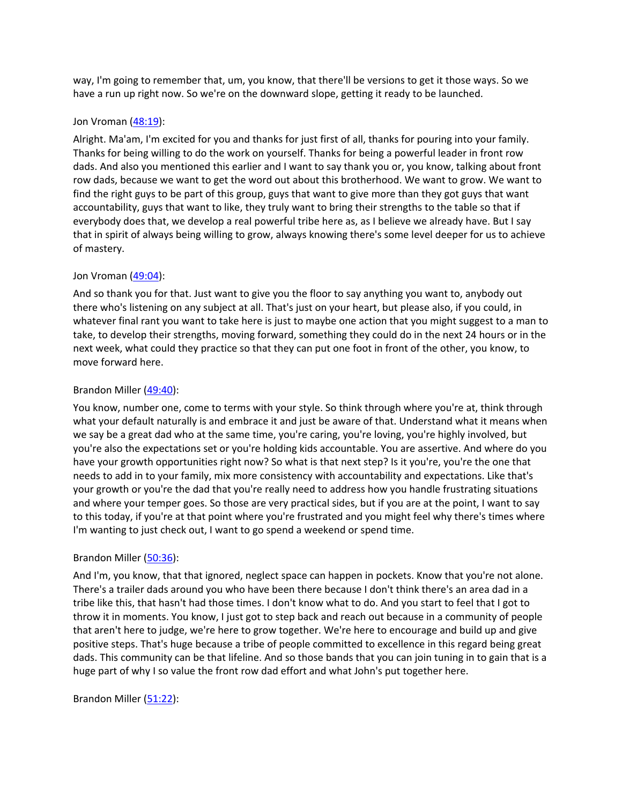way, I'm going to remember that, um, you know, that there'll be versions to get it those ways. So we have a run up right now. So we're on the downward slope, getting it ready to be launched.

#### Jon Vroman [\(48:19](https://www.temi.com/editor/t/bL6P-TX6fXqVipUc8fmULbESqGqlj6Mn2QDj7Tl-dwnyyYWyWaCl54z7sPxfksMYqP5UTlXZbiJ1fNX70jVK3djCJkg?loadFrom=DocumentDeeplink&ts=2899.89)):

Alright. Ma'am, I'm excited for you and thanks for just first of all, thanks for pouring into your family. Thanks for being willing to do the work on yourself. Thanks for being a powerful leader in front row dads. And also you mentioned this earlier and I want to say thank you or, you know, talking about front row dads, because we want to get the word out about this brotherhood. We want to grow. We want to find the right guys to be part of this group, guys that want to give more than they got guys that want accountability, guys that want to like, they truly want to bring their strengths to the table so that if everybody does that, we develop a real powerful tribe here as, as I believe we already have. But I say that in spirit of always being willing to grow, always knowing there's some level deeper for us to achieve of mastery.

## Jon Vroman [\(49:04](https://www.temi.com/editor/t/bL6P-TX6fXqVipUc8fmULbESqGqlj6Mn2QDj7Tl-dwnyyYWyWaCl54z7sPxfksMYqP5UTlXZbiJ1fNX70jVK3djCJkg?loadFrom=DocumentDeeplink&ts=2944.62)):

And so thank you for that. Just want to give you the floor to say anything you want to, anybody out there who's listening on any subject at all. That's just on your heart, but please also, if you could, in whatever final rant you want to take here is just to maybe one action that you might suggest to a man to take, to develop their strengths, moving forward, something they could do in the next 24 hours or in the next week, what could they practice so that they can put one foot in front of the other, you know, to move forward here.

### Brandon Miller ([49:40](https://www.temi.com/editor/t/bL6P-TX6fXqVipUc8fmULbESqGqlj6Mn2QDj7Tl-dwnyyYWyWaCl54z7sPxfksMYqP5UTlXZbiJ1fNX70jVK3djCJkg?loadFrom=DocumentDeeplink&ts=2980.14)):

You know, number one, come to terms with your style. So think through where you're at, think through what your default naturally is and embrace it and just be aware of that. Understand what it means when we say be a great dad who at the same time, you're caring, you're loving, you're highly involved, but you're also the expectations set or you're holding kids accountable. You are assertive. And where do you have your growth opportunities right now? So what is that next step? Is it you're, you're the one that needs to add in to your family, mix more consistency with accountability and expectations. Like that's your growth or you're the dad that you're really need to address how you handle frustrating situations and where your temper goes. So those are very practical sides, but if you are at the point, I want to say to this today, if you're at that point where you're frustrated and you might feel why there's times where I'm wanting to just check out, I want to go spend a weekend or spend time.

## Brandon Miller ([50:36](https://www.temi.com/editor/t/bL6P-TX6fXqVipUc8fmULbESqGqlj6Mn2QDj7Tl-dwnyyYWyWaCl54z7sPxfksMYqP5UTlXZbiJ1fNX70jVK3djCJkg?loadFrom=DocumentDeeplink&ts=3036.41)):

And I'm, you know, that that ignored, neglect space can happen in pockets. Know that you're not alone. There's a trailer dads around you who have been there because I don't think there's an area dad in a tribe like this, that hasn't had those times. I don't know what to do. And you start to feel that I got to throw it in moments. You know, I just got to step back and reach out because in a community of people that aren't here to judge, we're here to grow together. We're here to encourage and build up and give positive steps. That's huge because a tribe of people committed to excellence in this regard being great dads. This community can be that lifeline. And so those bands that you can join tuning in to gain that is a huge part of why I so value the front row dad effort and what John's put together here.

#### Brandon Miller ([51:22](https://www.temi.com/editor/t/bL6P-TX6fXqVipUc8fmULbESqGqlj6Mn2QDj7Tl-dwnyyYWyWaCl54z7sPxfksMYqP5UTlXZbiJ1fNX70jVK3djCJkg?loadFrom=DocumentDeeplink&ts=3082.96)):